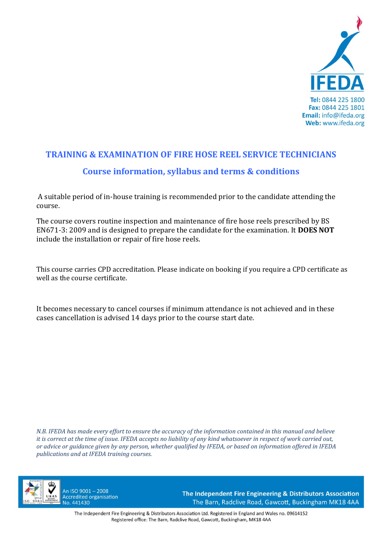

# **TRAINING & EXAMINATION OF FIRE HOSE REEL SERVICE TECHNICIANS Course information, syllabus and terms & conditions**

A suitable period of in‐house training is recommended prior to the candidate attending the course.

The course covers routine inspection and maintenance of fire hose reels prescribed by BS EN671‐3: 2009 and is designed to prepare the candidate for the examination. It **DOES NOT** include the installation or repair of fire hose reels.

This course carries CPD accreditation. Please indicate on booking if you require a CPD certificate as well as the course certificate.

It becomes necessary to cancel courses if minimum attendance is not achieved and in these cases cancellation is advised 14 days prior to the course start date.

*N.B. IFEDA has made every effort to ensure the accuracy of the information contained in this manual and believe it is correct at the time of issue. IFEDA accepts no liability of any kind whatsoever in respect of work carried out, or advice or guidance given by any person, whether qualified by IFEDA, or based on information offered in IFEDA publications and at IFEDA training courses.* 



An ISO 9001-2008 **Accredited organisation** No. 441430

The Independent Fire Engineering & Distributors Association The Barn, Radclive Road, Gawcott, Buckingham MK18 4AA

The Independent Fire Engineering & Distributors Association Ltd. Registered in England and Wales no. 09614152 Registered office: The Barn, Radclive Road, Gawcott, Buckingham, MK18 4AA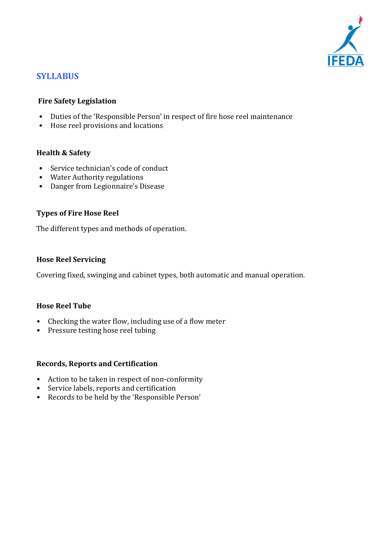

# **SYLLABUS**

# **Fire Safety Legislation**

- Duties of the 'Responsible Person' in respect of fire hose reel maintenance
- Hose reel provisions and locations

# **Health & Safety**

- Service technician's code of conduct
- Water Authority regulations
- Danger from Legionnaire's Disease

# **Types of Fire Hose Reel**

The different types and methods of operation.

# **Hose Reel Servicing**

Covering fixed, swinging and cabinet types, both automatic and manual operation.

#### **Hose Reel Tube**

- Checking the water flow, including use of a flow meter
- Pressure testing hose reel tubing

#### **Records, Reports and Certification**

- Action to be taken in respect of non-conformity
- Service labels, reports and certification
- Records to be held by the 'Responsible Person'